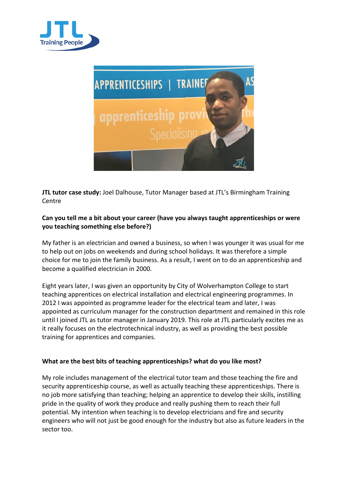



**JTL tutor case study:** Joel Dalhouse, Tutor Manager based at JTL's Birmingham Training Centre

## **Can you tell me a bit about your career (have you always taught apprenticeships or were you teaching something else before?)**

My father is an electrician and owned a business, so when I was younger it was usual for me to help out on jobs on weekends and during school holidays. It was therefore a simple choice for me to join the family business. As a result, I went on to do an apprenticeship and become a qualified electrician in 2000.

Eight years later, I was given an opportunity by City of Wolverhampton College to start teaching apprentices on electrical installation and electrical engineering programmes. In 2012 I was appointed as programme leader for the electrical team and later, I was appointed as curriculum manager for the construction department and remained in this role until I joined JTL as tutor manager in January 2019. This role at JTL particularly excites me as it really focuses on the electrotechnical industry, as well as providing the best possible training for apprentices and companies.

## **What are the best bits of teaching apprenticeships? what do you like most?**

My role includes management of the electrical tutor team and those teaching the fire and security apprenticeship course, as well as actually teaching these apprenticeships. There is no job more satisfying than teaching; helping an apprentice to develop their skills, instilling pride in the quality of work they produce and really pushing them to reach their full potential. My intention when teaching is to develop electricians and fire and security engineers who will not just be good enough for the industry but also as future leaders in the sector too.